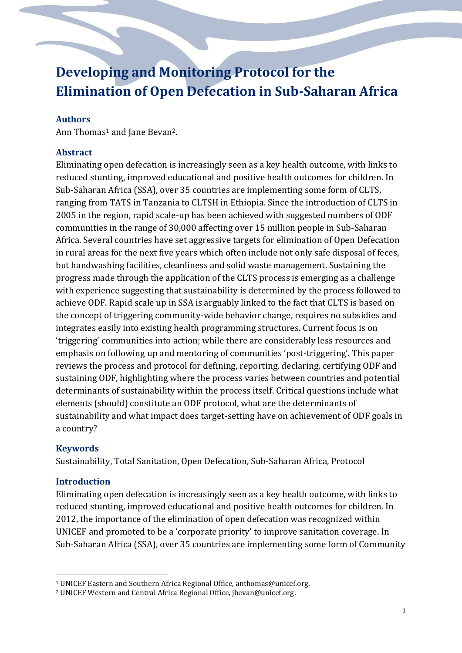# **Developing and Monitoring Protocol for the Elimination of Open Defecation in Sub-Saharan Africa**

## **Authors**

Ann Thomas<sup>1</sup> and Jane Bevan<sup>2</sup>.

### **Abstract**

Eliminating open defecation is increasingly seen as a key health outcome, with links to reduced stunting, improved educational and positive health outcomes for children. In Sub-Saharan Africa (SSA), over 35 countries are implementing some form of CLTS, ranging from TATS in Tanzania to CLTSH in Ethiopia. Since the introduction of CLTS in 2005 in the region, rapid scale-up has been achieved with suggested numbers of ODF communities in the range of 30,000 affecting over 15 million people in Sub-Saharan Africa. Several countries have set aggressive targets for elimination of Open Defecation in rural areas for the next five years which often include not only safe disposal of feces, but handwashing facilities, cleanliness and solid waste management. Sustaining the progress made through the application of the CLTS process is emerging as a challenge with experience suggesting that sustainability is determined by the process followed to achieve ODF. Rapid scale up in SSA is arguably linked to the fact that CLTS is based on the concept of triggering community-wide behavior change, requires no subsidies and integrates easily into existing health programming structures. Current focus is on 'triggering' communities into action; while there are considerably less resources and emphasis on following up and mentoring of communities 'post-triggering'. This paper reviews the process and protocol for defining, reporting, declaring, certifying ODF and sustaining ODF, highlighting where the process varies between countries and potential determinants of sustainability within the process itself. Critical questions include what elements (should) constitute an ODF protocol, what are the determinants of sustainability and what impact does target-setting have on achievement of ODF goals in a country?

## **Keywords**

Sustainability, Total Sanitation, Open Defecation, Sub-Saharan Africa, Protocol

#### **Introduction**

<u>.</u>

Eliminating open defecation is increasingly seen as a key health outcome, with links to reduced stunting, improved educational and positive health outcomes for children. In 2012, the importance of the elimination of open defecation was recognized within UNICEF and promoted to be a 'corporate priority' to improve sanitation coverage. In Sub-Saharan Africa (SSA), over 35 countries are implementing some form of Community

<sup>1</sup> UNICEF Eastern and Southern Africa Regional Office, anthomas@unicef.org.

<sup>2</sup> UNICEF Western and Central Africa Regional Office, jbevan@unicef.org.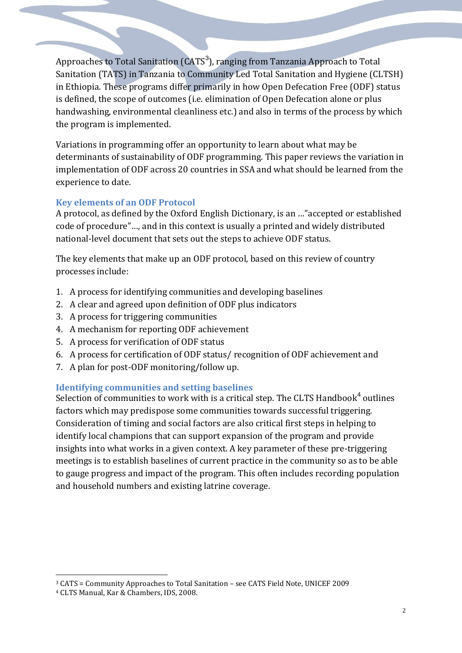Approaches to Total Sanitation (CATS<sup>3</sup>), ranging from Tanzania Approach to Total Sanitation (TATS) in Tanzania to Community Led Total Sanitation and Hygiene (CLTSH) in Ethiopia. These programs differ primarily in how Open Defecation Free (ODF) status is defined, the scope of outcomes (i.e. elimination of Open Defecation alone or plus handwashing, environmental cleanliness etc.) and also in terms of the process by which the program is implemented.

Variations in programming offer an opportunity to learn about what may be determinants of sustainability of ODF programming. This paper reviews the variation in implementation of ODF across 20 countries in SSA and what should be learned from the experience to date.

# **Key elements of an ODF Protocol**

A protocol, as defined by the Oxford English Dictionary, is an …"accepted or established code of procedure"…, and in this context is usually a printed and widely distributed national-level document that sets out the steps to achieve ODF status.

The key elements that make up an ODF protocol, based on this review of country processes include:

- 1. A process for identifying communities and developing baselines
- 2. A clear and agreed upon definition of ODF plus indicators
- 3. A process for triggering communities
- 4. A mechanism for reporting ODF achievement
- 5. A process for verification of ODF status
- 6. A process for certification of ODF status/ recognition of ODF achievement and
- 7. A plan for post-ODF monitoring/follow up.

# **Identifying communities and setting baselines**

Selection of communities to work with is a critical step. The CLTS Handbook $4$  outlines factors which may predispose some communities towards successful triggering. Consideration of timing and social factors are also critical first steps in helping to identify local champions that can support expansion of the program and provide insights into what works in a given context. A key parameter of these pre-triggering meetings is to establish baselines of current practice in the community so as to be able to gauge progress and impact of the program. This often includes recording population and household numbers and existing latrine coverage.

<sup>&</sup>lt;u>.</u> <sup>3</sup> CATS = Community Approaches to Total Sanitation – see CATS Field Note, UNICEF 2009

<sup>4</sup> CLTS Manual, Kar & Chambers, IDS, 2008.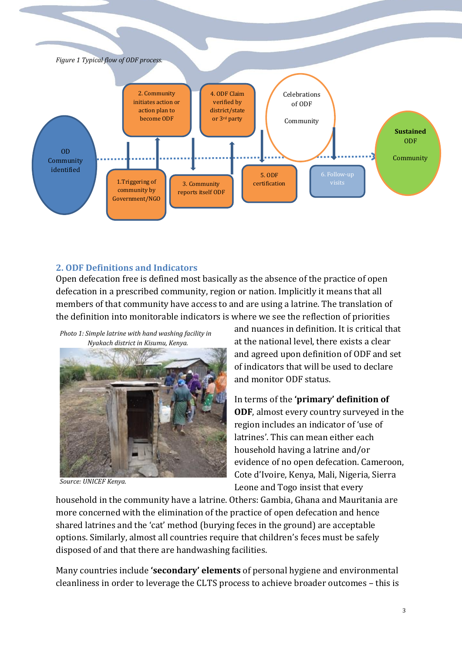

# **2. ODF Definitions and Indicators**

Open defecation free is defined most basically as the absence of the practice of open defecation in a prescribed community, region or nation. Implicitly it means that all members of that community have access to and are using a latrine. The translation of the definition into monitorable indicators is where we see the reflection of priorities

*Photo 1: Simple latrine with hand washing facility in Nyakach district in Kisumu, Kenya.* 



*Source: UNICEF Kenya.*

and nuances in definition. It is critical that at the national level, there exists a clear and agreed upon definition of ODF and set of indicators that will be used to declare and monitor ODF status.

In terms of the **'primary' definition of ODF**, almost every country surveyed in the region includes an indicator of 'use of latrines'. This can mean either each household having a latrine and/or evidence of no open defecation. Cameroon, Cote d'Ivoire, Kenya, Mali, Nigeria, Sierra Leone and Togo insist that every

household in the community have a latrine. Others: Gambia, Ghana and Mauritania are more concerned with the elimination of the practice of open defecation and hence shared latrines and the 'cat' method (burying feces in the ground) are acceptable options. Similarly, almost all countries require that children's feces must be safely disposed of and that there are handwashing facilities.

Many countries include **'secondary' elements** of personal hygiene and environmental cleanliness in order to leverage the CLTS process to achieve broader outcomes – this is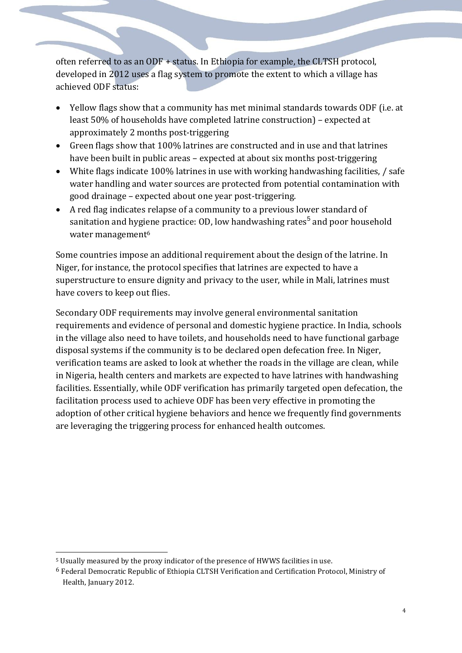often referred to as an ODF + status. In Ethiopia for example, the CLTSH protocol, developed in 2012 uses a flag system to promote the extent to which a village has achieved ODF status:

- Yellow flags show that a community has met minimal standards towards ODF (i.e. at least 50% of households have completed latrine construction) – expected at approximately 2 months post-triggering
- Green flags show that 100% latrines are constructed and in use and that latrines have been built in public areas – expected at about six months post-triggering
- White flags indicate 100% latrines in use with working handwashing facilities, / safe water handling and water sources are protected from potential contamination with good drainage – expected about one year post-triggering.
- A red flag indicates relapse of a community to a previous lower standard of sanitation and hygiene practice: OD, low handwashing rates $^5$  and poor household water management<sup>6</sup>

Some countries impose an additional requirement about the design of the latrine. In Niger, for instance, the protocol specifies that latrines are expected to have a superstructure to ensure dignity and privacy to the user, while in Mali, latrines must have covers to keep out flies.

Secondary ODF requirements may involve general environmental sanitation requirements and evidence of personal and domestic hygiene practice. In India, schools in the village also need to have toilets, and households need to have functional garbage disposal systems if the community is to be declared open defecation free. In Niger, verification teams are asked to look at whether the roads in the village are clean, while in Nigeria, health centers and markets are expected to have latrines with handwashing facilities. Essentially, while ODF verification has primarily targeted open defecation, the facilitation process used to achieve ODF has been very effective in promoting the adoption of other critical hygiene behaviors and hence we frequently find governments are leveraging the triggering process for enhanced health outcomes.

<u>.</u>

<sup>5</sup> Usually measured by the proxy indicator of the presence of HWWS facilities in use.

<sup>6</sup> Federal Democratic Republic of Ethiopia CLTSH Verification and Certification Protocol, Ministry of Health, January 2012.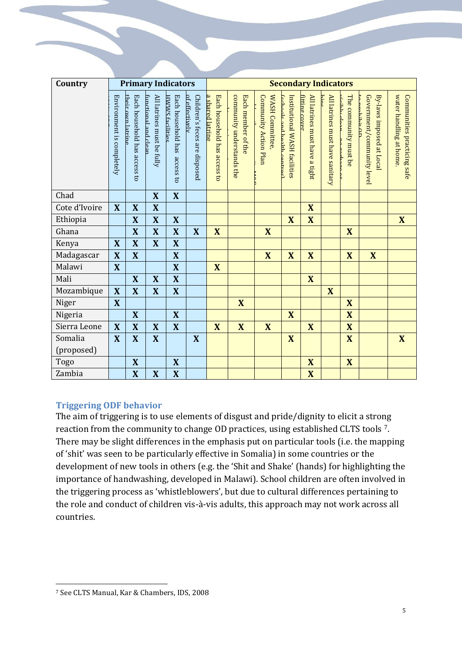| Country       | <b>Primary Indicators</b> |                                                   |                                                   |                                                                   |                                                 | <b>Secondary Indicators</b>                      |                                                 |                                          |                                                              |                                                 |                                 |                                                          |                                                                             |                                                       |
|---------------|---------------------------|---------------------------------------------------|---------------------------------------------------|-------------------------------------------------------------------|-------------------------------------------------|--------------------------------------------------|-------------------------------------------------|------------------------------------------|--------------------------------------------------------------|-------------------------------------------------|---------------------------------|----------------------------------------------------------|-----------------------------------------------------------------------------|-------------------------------------------------------|
|               | Environment is completely | Each household has access to<br>their own latrine | All latrines must be fully<br>imcrional and clear | Each household has<br>HWWS facilities<br>access<br>$\overline{a}$ | Children's feces are disposed<br>nf effectively | a shared latrine<br>Each household has access to | community understands the<br>Each member of the | WASH Committee,<br>Community Action Plan | Institutional WASH facilities<br>Cechoole and health centres | All latrines must have a tight<br>fitting cover | All latrines must have sanitary | The community must be<br>مصام برادانمان<br><b>Donana</b> | Government/community level<br>By-laws imposed at Local<br><b>Depibit DD</b> | water handling at home<br>Communities practicing safe |
| Chad          |                           |                                                   | X                                                 | X                                                                 |                                                 |                                                  |                                                 |                                          |                                                              |                                                 |                                 |                                                          |                                                                             |                                                       |
| Cote d'Ivoire | X                         | $\boldsymbol{X}$                                  | $\mathbf X$                                       |                                                                   |                                                 |                                                  |                                                 |                                          |                                                              | X                                               |                                 |                                                          |                                                                             |                                                       |
| Ethiopia      |                           | X                                                 | $\boldsymbol{X}$                                  | $\mathbf{X}$                                                      |                                                 |                                                  |                                                 |                                          | $\mathbf{X}$                                                 | X                                               |                                 |                                                          |                                                                             | $\mathbf{X}$                                          |
| Ghana         |                           | X                                                 | $\mathbf{X}$                                      | $\mathbf{X}$                                                      | $\mathbf{X}$                                    | X                                                |                                                 | X                                        |                                                              |                                                 |                                 | $\mathbf{X}$                                             |                                                                             |                                                       |
| Kenya         | X                         | $\overline{\mathbf{X}}$                           | X                                                 | $\mathbf{X}$                                                      |                                                 |                                                  |                                                 |                                          |                                                              |                                                 |                                 |                                                          |                                                                             |                                                       |
| Madagascar    | X                         | X                                                 |                                                   | $\mathbf{X}$                                                      |                                                 |                                                  |                                                 | $\mathbf{X}$                             | $\mathbf{X}$                                                 | X                                               |                                 | X                                                        | X                                                                           |                                                       |
| Malawi        | $\mathbf{X}$              |                                                   |                                                   | $\mathbf{X}$                                                      |                                                 | $\mathbf{X}$                                     |                                                 |                                          |                                                              |                                                 |                                 |                                                          |                                                                             |                                                       |
| Mali          |                           | $\bf{X}$                                          | X                                                 | $\mathbf{X}$                                                      |                                                 |                                                  |                                                 |                                          |                                                              | $\mathbf{X}$                                    |                                 |                                                          |                                                                             |                                                       |
| Mozambique    | X                         | $\overline{\mathbf{X}}$                           | X                                                 | $\mathbf{X}$                                                      |                                                 |                                                  |                                                 |                                          |                                                              |                                                 | $\overline{\mathbf{X}}$         |                                                          |                                                                             |                                                       |
| Niger         | X                         |                                                   |                                                   |                                                                   |                                                 |                                                  | $\mathbf{X}$                                    |                                          |                                                              |                                                 |                                 | X                                                        |                                                                             |                                                       |
| Nigeria       |                           | X                                                 |                                                   | $\overline{\mathbf{X}}$                                           |                                                 |                                                  |                                                 |                                          | X                                                            |                                                 |                                 | X                                                        |                                                                             |                                                       |
| Sierra Leone  | $\mathbf{X}$              | $\boldsymbol{\mathrm{X}}$                         | $\mathbf{X}$                                      | $\mathbf{X}$                                                      |                                                 | X                                                | $\mathbf{X}$                                    | X                                        |                                                              | $\mathbf{X}$                                    |                                 | $\overline{\mathbf{X}}$                                  |                                                                             |                                                       |
| Somalia       | X                         | $\bf{X}$                                          | X                                                 |                                                                   | $\mathbf{X}$                                    |                                                  |                                                 |                                          | $\mathbf{X}$                                                 |                                                 |                                 | $\overline{\mathbf{X}}$                                  |                                                                             | $\boldsymbol{\mathrm{X}}$                             |
| (proposed)    |                           |                                                   |                                                   |                                                                   |                                                 |                                                  |                                                 |                                          |                                                              |                                                 |                                 |                                                          |                                                                             |                                                       |
| Togo          |                           | X                                                 |                                                   | X                                                                 |                                                 |                                                  |                                                 |                                          |                                                              | X                                               |                                 | X                                                        |                                                                             |                                                       |
| Zambia        |                           | $\overline{\mathbf{X}}$                           | $\bf{X}$                                          | $\mathbf{X}$                                                      |                                                 |                                                  |                                                 |                                          |                                                              | $\overline{\mathbf{X}}$                         |                                 |                                                          |                                                                             |                                                       |

## **Triggering ODF behavior**

The aim of triggering is to use elements of disgust and pride/dignity to elicit a strong reaction from the community to change OD practices, using established CLTS tools 7. There may be slight differences in the emphasis put on particular tools (i.e. the mapping of 'shit' was seen to be particularly effective in Somalia) in some countries or the development of new tools in others (e.g. the 'Shit and Shake' (hands) for highlighting the importance of handwashing, developed in Malawi). School children are often involved in the triggering process as 'whistleblowers', but due to cultural differences pertaining to the role and conduct of children vis-à-vis adults, this approach may not work across all countries.

<u>.</u>

<sup>7</sup> See CLTS Manual, Kar & Chambers, IDS, 2008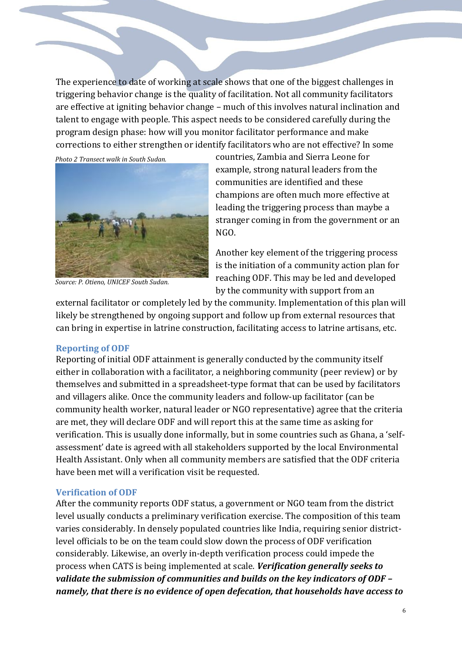The experience to date of working at scale shows that one of the biggest challenges in triggering behavior change is the quality of facilitation. Not all community facilitators are effective at igniting behavior change – much of this involves natural inclination and talent to engage with people. This aspect needs to be considered carefully during the program design phase: how will you monitor facilitator performance and make corrections to either strengthen or identify facilitators who are not effective? In some

*Photo 2 Transect walk in South Sudan.*



*Source: P. Otieno, UNICEF South Sudan.*

countries, Zambia and Sierra Leone for example, strong natural leaders from the communities are identified and these champions are often much more effective at leading the triggering process than maybe a stranger coming in from the government or an NGO.

Another key element of the triggering process is the initiation of a community action plan for reaching ODF. This may be led and developed by the community with support from an

external facilitator or completely led by the community. Implementation of this plan will likely be strengthened by ongoing support and follow up from external resources that can bring in expertise in latrine construction, facilitating access to latrine artisans, etc.

#### **Reporting of ODF**

Reporting of initial ODF attainment is generally conducted by the community itself either in collaboration with a facilitator, a neighboring community (peer review) or by themselves and submitted in a spreadsheet-type format that can be used by facilitators and villagers alike*.* Once the community leaders and follow-up facilitator (can be community health worker, natural leader or NGO representative) agree that the criteria are met, they will declare ODF and will report this at the same time as asking for verification. This is usually done informally, but in some countries such as Ghana, a 'selfassessment' date is agreed with all stakeholders supported by the local Environmental Health Assistant. Only when all community members are satisfied that the ODF criteria have been met will a verification visit be requested.

#### **Verification of ODF**

After the community reports ODF status, a government or NGO team from the district level usually conducts a preliminary verification exercise. The composition of this team varies considerably. In densely populated countries like India, requiring senior districtlevel officials to be on the team could slow down the process of ODF verification considerably. Likewise, an overly in-depth verification process could impede the process when CATS is being implemented at scale. *Verification generally seeks to validate the submission of communities and builds on the key indicators of ODF – namely, that there is no evidence of open defecation, that households have access to*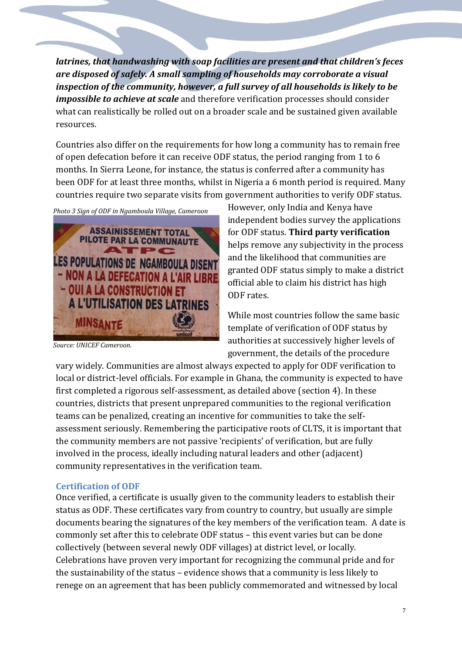*latrines, that handwashing with soap facilities are present and that children's feces are disposed of safely. A small sampling of households may corroborate a visual inspection of the community, however, a full survey of all households is likely to be impossible to achieve at scale* and therefore verification processes should consider what can realistically be rolled out on a broader scale and be sustained given available resources.

Countries also differ on the requirements for how long a community has to remain free of open defecation before it can receive ODF status, the period ranging from 1 to 6 months. In Sierra Leone, for instance, the status is conferred after a community has been ODF for at least three months, whilst in Nigeria a 6 month period is required. Many countries require two separate visits from government authorities to verify ODF status.

*Photo 3 Sign of ODF in Ngamboula Village, Cameroon* 



*Source: UNICEF Cameroon.*

However, only India and Kenya have independent bodies survey the applications for ODF status. **Third party verification** helps remove any subjectivity in the process and the likelihood that communities are granted ODF status simply to make a district official able to claim his district has high ODF rates.

While most countries follow the same basic template of verification of ODF status by authorities at successively higher levels of government, the details of the procedure

vary widely. Communities are almost always expected to apply for ODF verification to local or district-level officials. For example in Ghana, the community is expected to have first completed a rigorous self-assessment, as detailed above (section 4). In these countries, districts that present unprepared communities to the regional verification teams can be penalized, creating an incentive for communities to take the selfassessment seriously. Remembering the participative roots of CLTS, it is important that the community members are not passive 'recipients' of verification, but are fully involved in the process, ideally including natural leaders and other (adjacent) community representatives in the verification team.

#### **Certification of ODF**

Once verified, a certificate is usually given to the community leaders to establish their status as ODF. These certificates vary from country to country, but usually are simple documents bearing the signatures of the key members of the verification team. A date is commonly set after this to celebrate ODF status – this event varies but can be done collectively (between several newly ODF villages) at district level, or locally. Celebrations have proven very important for recognizing the communal pride and for the sustainability of the status – evidence shows that a community is less likely to renege on an agreement that has been publicly commemorated and witnessed by local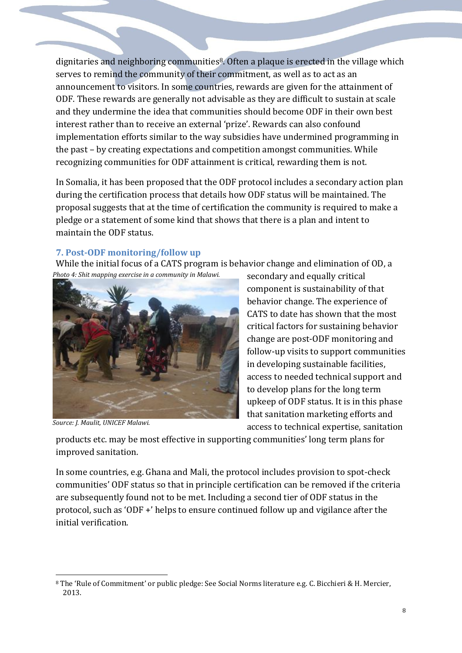dignitaries and neighboring communities<sup>8</sup>. Often a plaque is erected in the village which serves to remind the community of their commitment, as well as to act as an announcement to visitors. In some countries, rewards are given for the attainment of ODF. These rewards are generally not advisable as they are difficult to sustain at scale and they undermine the idea that communities should become ODF in their own best interest rather than to receive an external 'prize'. Rewards can also confound implementation efforts similar to the way subsidies have undermined programming in the past – by creating expectations and competition amongst communities. While recognizing communities for ODF attainment is critical, rewarding them is not.

In Somalia, it has been proposed that the ODF protocol includes a secondary action plan during the certification process that details how ODF status will be maintained. The proposal suggests that at the time of certification the community is required to make a pledge or a statement of some kind that shows that there is a plan and intent to maintain the ODF status.

## **7. Post-ODF monitoring/follow up**

While the initial focus of a CATS program is behavior change and elimination of OD, a *Photo 4: Shit mapping exercise in a community in Malawi.*



*Source: J. Maulit, UNICEF Malawi.*

secondary and equally critical component is sustainability of that behavior change. The experience of CATS to date has shown that the most critical factors for sustaining behavior change are post-ODF monitoring and follow-up visits to support communities in developing sustainable facilities, access to needed technical support and to develop plans for the long term upkeep of ODF status. It is in this phase that sanitation marketing efforts and access to technical expertise, sanitation

products etc. may be most effective in supporting communities' long term plans for improved sanitation.

In some countries, e.g. Ghana and Mali, the protocol includes provision to spot-check communities' ODF status so that in principle certification can be removed if the criteria are subsequently found not to be met. Including a second tier of ODF status in the protocol, such as 'ODF +' helps to ensure continued follow up and vigilance after the initial verification.

<sup>&</sup>lt;u>.</u> <sup>8</sup> The 'Rule of Commitment' or public pledge: See Social Norms literature e.g. C. Bicchieri & H. Mercier, 2013.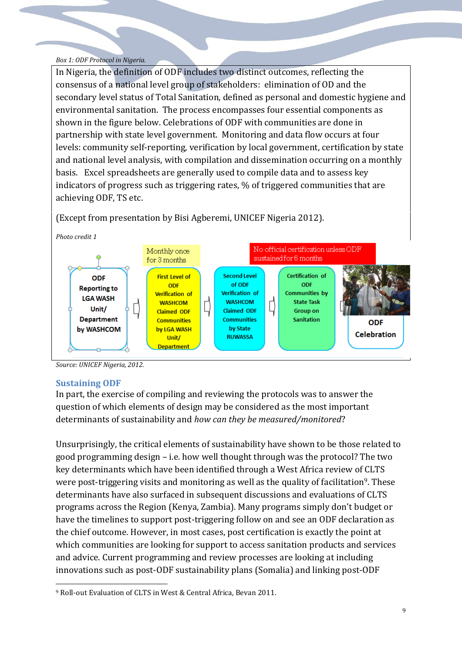#### *Box 1: ODF Protocol in Nigeria.*

In Nigeria, the definition of ODF includes two distinct outcomes, reflecting the consensus of a national level group of stakeholders: elimination of OD and the secondary level status of Total Sanitation, defined as personal and domestic hygiene and environmental sanitation. The process encompasses four essential components as shown in the figure below. Celebrations of ODF with communities are done in partnership with state level government. Monitoring and data flow occurs at four levels: community self-reporting, verification by local government, certification by state and national level analysis, with compilation and dissemination occurring on a monthly basis. Excel spreadsheets are generally used to compile data and to assess key indicators of progress such as triggering rates, % of triggered communities that are achieving ODF, TS etc.



(Except from presentation by Bisi Agberemi, UNICEF Nigeria 2012).

*Source: UNICEF Nigeria, 2012.* 

## **Sustaining ODF**

<u>.</u>

In part, the exercise of compiling and reviewing the protocols was to answer the question of which elements of design may be considered as the most important determinants of sustainability and *how can they be measured/monitored*?

Unsurprisingly, the critical elements of sustainability have shown to be those related to good programming design – i.e. how well thought through was the protocol? The two key determinants which have been identified through a West Africa review of CLTS were post-triggering visits and monitoring as well as the quality of facilitation<sup>9</sup>. These determinants have also surfaced in subsequent discussions and evaluations of CLTS programs across the Region (Kenya, Zambia). Many programs simply don't budget or have the timelines to support post-triggering follow on and see an ODF declaration as the chief outcome. However, in most cases, post certification is exactly the point at which communities are looking for support to access sanitation products and services and advice. Current programming and review processes are looking at including innovations such as post-ODF sustainability plans (Somalia) and linking post-ODF

<sup>9</sup> Roll-out Evaluation of CLTS in West & Central Africa, Bevan 2011.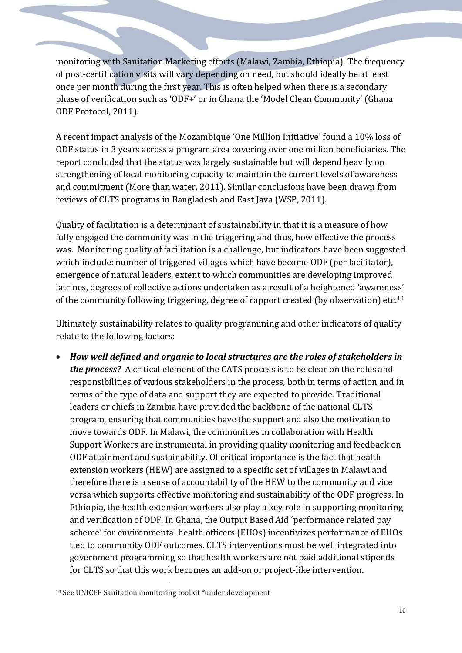monitoring with Sanitation Marketing efforts (Malawi, Zambia, Ethiopia). The frequency of post-certification visits will vary depending on need, but should ideally be at least once per month during the first year. This is often helped when there is a secondary phase of verification such as 'ODF+' or in Ghana the 'Model Clean Community' (Ghana ODF Protocol, 2011).

A recent impact analysis of the Mozambique 'One Million Initiative' found a 10% loss of ODF status in 3 years across a program area covering over one million beneficiaries. The report concluded that the status was largely sustainable but will depend heavily on strengthening of local monitoring capacity to maintain the current levels of awareness and commitment (More than water, 2011). Similar conclusions have been drawn from reviews of CLTS programs in Bangladesh and East Java (WSP, 2011).

Quality of facilitation is a determinant of sustainability in that it is a measure of how fully engaged the community was in the triggering and thus, how effective the process was. Monitoring quality of facilitation is a challenge, but indicators have been suggested which include: number of triggered villages which have become ODF (per facilitator), emergence of natural leaders, extent to which communities are developing improved latrines, degrees of collective actions undertaken as a result of a heightened 'awareness' of the community following triggering, degree of rapport created (by observation) etc.<sup>10</sup>

Ultimately sustainability relates to quality programming and other indicators of quality relate to the following factors:

 *How well defined and organic to local structures are the roles of stakeholders in the process?* A critical element of the CATS process is to be clear on the roles and responsibilities of various stakeholders in the process, both in terms of action and in terms of the type of data and support they are expected to provide. Traditional leaders or chiefs in Zambia have provided the backbone of the national CLTS program, ensuring that communities have the support and also the motivation to move towards ODF. In Malawi, the communities in collaboration with Health Support Workers are instrumental in providing quality monitoring and feedback on ODF attainment and sustainability. Of critical importance is the fact that health extension workers (HEW) are assigned to a specific set of villages in Malawi and therefore there is a sense of accountability of the HEW to the community and vice versa which supports effective monitoring and sustainability of the ODF progress. In Ethiopia, the health extension workers also play a key role in supporting monitoring and verification of ODF. In Ghana, the Output Based Aid 'performance related pay scheme' for environmental health officers (EHOs) incentivizes performance of EHOs tied to community ODF outcomes. CLTS interventions must be well integrated into government programming so that health workers are not paid additional stipends for CLTS so that this work becomes an add-on or project-like intervention.

<u>.</u>

<sup>10</sup> See UNICEF Sanitation monitoring toolkit \*under development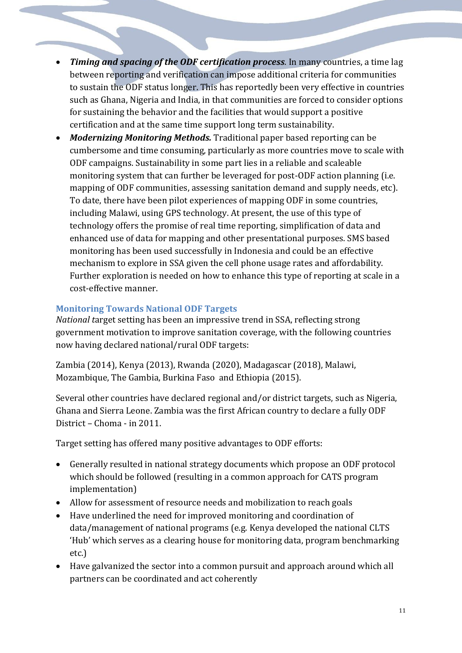- *Timing and spacing of the ODF certification process*. In many countries, a time lag between reporting and verification can impose additional criteria for communities to sustain the ODF status longer. This has reportedly been very effective in countries such as Ghana, Nigeria and India, in that communities are forced to consider options for sustaining the behavior and the facilities that would support a positive certification and at the same time support long term sustainability.
- *Modernizing Monitoring Methods.* Traditional paper based reporting can be cumbersome and time consuming, particularly as more countries move to scale with ODF campaigns. Sustainability in some part lies in a reliable and scaleable monitoring system that can further be leveraged for post-ODF action planning (i.e. mapping of ODF communities, assessing sanitation demand and supply needs, etc). To date, there have been pilot experiences of mapping ODF in some countries, including Malawi, using GPS technology. At present, the use of this type of technology offers the promise of real time reporting, simplification of data and enhanced use of data for mapping and other presentational purposes. SMS based monitoring has been used successfully in Indonesia and could be an effective mechanism to explore in SSA given the cell phone usage rates and affordability. Further exploration is needed on how to enhance this type of reporting at scale in a cost-effective manner.

# **Monitoring Towards National ODF Targets**

*National t*arget setting has been an impressive trend in SSA, reflecting strong government motivation to improve sanitation coverage, with the following countries now having declared national/rural ODF targets:

Zambia (2014), Kenya (2013), Rwanda (2020), Madagascar (2018), Malawi, Mozambique, The Gambia, Burkina Faso and Ethiopia (2015).

Several other countries have declared regional and/or district targets, such as Nigeria, Ghana and Sierra Leone. Zambia was the first African country to declare a fully ODF District – Choma - in 2011.

Target setting has offered many positive advantages to ODF efforts:

- Generally resulted in national strategy documents which propose an ODF protocol which should be followed (resulting in a common approach for CATS program implementation)
- Allow for assessment of resource needs and mobilization to reach goals
- Have underlined the need for improved monitoring and coordination of data/management of national programs (e.g. Kenya developed the national CLTS 'Hub' which serves as a clearing house for monitoring data, program benchmarking etc.)
- Have galvanized the sector into a common pursuit and approach around which all partners can be coordinated and act coherently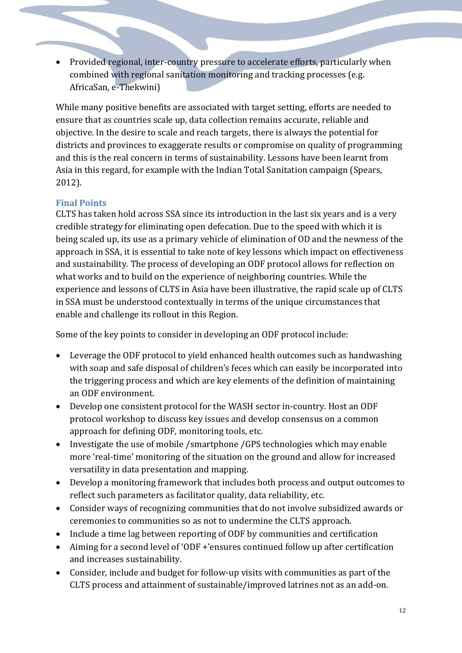• Provided regional, inter-country pressure to accelerate efforts, particularly when combined with regional sanitation monitoring and tracking processes (e.g. AfricaSan, e-Thekwini)

While many positive benefits are associated with target setting, efforts are needed to ensure that as countries scale up, data collection remains accurate, reliable and objective. In the desire to scale and reach targets, there is always the potential for districts and provinces to exaggerate results or compromise on quality of programming and this is the real concern in terms of sustainability. Lessons have been learnt from Asia in this regard, for example with the Indian Total Sanitation campaign (Spears, 2012).

# **Final Points**

CLTS has taken hold across SSA since its introduction in the last six years and is a very credible strategy for eliminating open defecation. Due to the speed with which it is being scaled up, its use as a primary vehicle of elimination of OD and the newness of the approach in SSA, it is essential to take note of key lessons which impact on effectiveness and sustainability. The process of developing an ODF protocol allows for reflection on what works and to build on the experience of neighboring countries. While the experience and lessons of CLTS in Asia have been illustrative, the rapid scale up of CLTS in SSA must be understood contextually in terms of the unique circumstances that enable and challenge its rollout in this Region.

Some of the key points to consider in developing an ODF protocol include:

- Leverage the ODF protocol to yield enhanced health outcomes such as handwashing with soap and safe disposal of children's feces which can easily be incorporated into the triggering process and which are key elements of the definition of maintaining an ODF environment.
- Develop one consistent protocol for the WASH sector in-country. Host an ODF protocol workshop to discuss key issues and develop consensus on a common approach for defining ODF, monitoring tools, etc.
- Investigate the use of mobile /smartphone /GPS technologies which may enable more 'real-time' monitoring of the situation on the ground and allow for increased versatility in data presentation and mapping.
- Develop a monitoring framework that includes both process and output outcomes to reflect such parameters as facilitator quality, data reliability, etc.
- Consider ways of recognizing communities that do not involve subsidized awards or ceremonies to communities so as not to undermine the CLTS approach.
- Include a time lag between reporting of ODF by communities and certification
- Aiming for a second level of 'ODF +'ensures continued follow up after certification and increases sustainability.
- Consider, include and budget for follow-up visits with communities as part of the CLTS process and attainment of sustainable/improved latrines not as an add-on.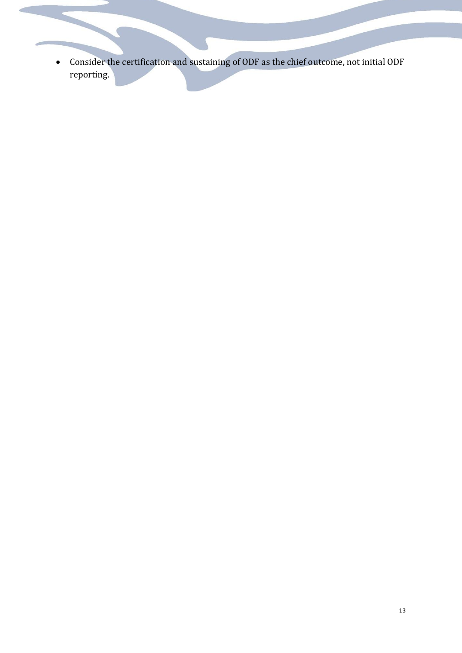Consider the certification and sustaining of ODF as the chief outcome, not initial ODF reporting.